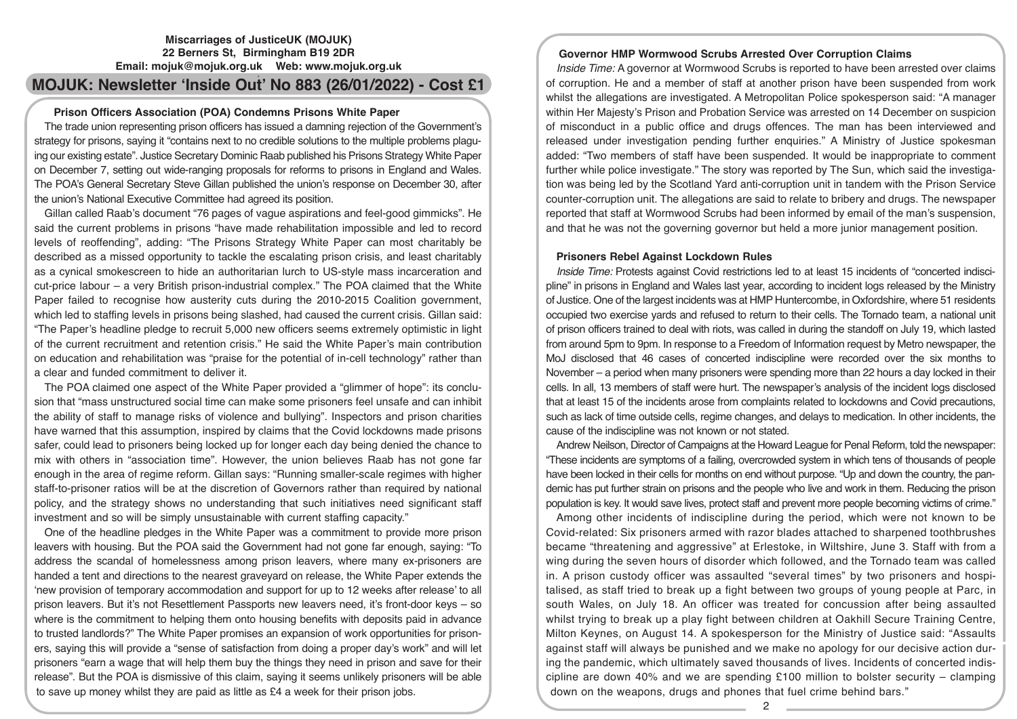# **Miscarriages of JusticeUK (MOJUK) 22 Berners St, Birmingham B19 2DR Email: mojuk@mojuk.org.uk Web: www.mojuk.org.uk**

# **2 MOJUK: Newsletter 'Inside Out' No 883 (26/01/2022) - Cost £1**

# **Prison Officers Association (POA) Condemns Prisons White Paper**

The trade union representing prison officers has issued a damning rejection of the Government's strategy for prisons, saying it "contains next to no credible solutions to the multiple problems plaguing our existing estate". Justice Secretary Dominic Raab published his Prisons Strategy White Paper on December 7, setting out wide-ranging proposals for reforms to prisons in England and Wales. The POA's General Secretary Steve Gillan published the union's response on December 30, after the union's National Executive Committee had agreed its position.

Gillan called Raab's document "76 pages of vague aspirations and feel-good gimmicks". He said the current problems in prisons "have made rehabilitation impossible and led to record levels of reoffending", adding: "The Prisons Strategy White Paper can most charitably be described as a missed opportunity to tackle the escalating prison crisis, and least charitably as a cynical smokescreen to hide an authoritarian lurch to US-style mass incarceration and cut-price labour – a very British prison-industrial complex." The POA claimed that the White Paper failed to recognise how austerity cuts during the 2010-2015 Coalition government, which led to staffing levels in prisons being slashed, had caused the current crisis. Gillan said: "The Paper's headline pledge to recruit 5,000 new officers seems extremely optimistic in light of the current recruitment and retention crisis." He said the White Paper's main contribution on education and rehabilitation was "praise for the potential of in-cell technology" rather than a clear and funded commitment to deliver it.

The POA claimed one aspect of the White Paper provided a "glimmer of hope": its conclusion that "mass unstructured social time can make some prisoners feel unsafe and can inhibit the ability of staff to manage risks of violence and bullying". Inspectors and prison charities have warned that this assumption, inspired by claims that the Covid lockdowns made prisons safer, could lead to prisoners being locked up for longer each day being denied the chance to mix with others in "association time". However, the union believes Raab has not gone far enough in the area of regime reform. Gillan says: "Running smaller-scale regimes with higher staff-to-prisoner ratios will be at the discretion of Governors rather than required by national policy, and the strategy shows no understanding that such initiatives need significant staff investment and so will be simply unsustainable with current staffing capacity."

One of the headline pledges in the White Paper was a commitment to provide more prison leavers with housing. But the POA said the Government had not gone far enough, saying: "To address the scandal of homelessness among prison leavers, where many ex-prisoners are handed a tent and directions to the nearest graveyard on release, the White Paper extends the 'new provision of temporary accommodation and support for up to 12 weeks after release' to all prison leavers. But it's not Resettlement Passports new leavers need, it's front-door keys – so where is the commitment to helping them onto housing benefits with deposits paid in advance to trusted landlords?" The White Paper promises an expansion of work opportunities for prisoners, saying this will provide a "sense of satisfaction from doing a proper day's work" and will let prisoners "earn a wage that will help them buy the things they need in prison and save for their release". But the POA is dismissive of this claim, saying it seems unlikely prisoners will be able to save up money whilst they are paid as little as £4 a week for their prison jobs.

# **Governor HMP Wormwood Scrubs Arrested Over Corruption Claims**

*Inside Time:* A governor at Wormwood Scrubs is reported to have been arrested over claims of corruption. He and a member of staff at another prison have been suspended from work whilst the allegations are investigated. A Metropolitan Police spokesperson said: "A manager within Her Majesty's Prison and Probation Service was arrested on 14 December on suspicion of misconduct in a public office and drugs offences. The man has been interviewed and released under investigation pending further enquiries." A Ministry of Justice spokesman added: "Two members of staff have been suspended. It would be inappropriate to comment further while police investigate." The story was reported by The Sun, which said the investigation was being led by the Scotland Yard anti-corruption unit in tandem with the Prison Service counter-corruption unit. The allegations are said to relate to bribery and drugs. The newspaper reported that staff at Wormwood Scrubs had been informed by email of the man's suspension, and that he was not the governing governor but held a more junior management position.

#### **Prisoners Rebel Against Lockdown Rules**

*Inside Time:* Protests against Covid restrictions led to at least 15 incidents of "concerted indiscipline" in prisons in England and Wales last year, according to incident logs released by the Ministry of Justice. One of the largest incidents was at HMP Huntercombe, in Oxfordshire, where 51 residents occupied two exercise yards and refused to return to their cells. The Tornado team, a national unit of prison officers trained to deal with riots, was called in during the standoff on July 19, which lasted from around 5pm to 9pm. In response to a Freedom of Information request by Metro newspaper, the MoJ disclosed that 46 cases of concerted indiscipline were recorded over the six months to November – a period when many prisoners were spending more than 22 hours a day locked in their cells. In all, 13 members of staff were hurt. The newspaper's analysis of the incident logs disclosed that at least 15 of the incidents arose from complaints related to lockdowns and Covid precautions, such as lack of time outside cells, regime changes, and delays to medication. In other incidents, the cause of the indiscipline was not known or not stated.

Andrew Neilson, Director of Campaigns at the Howard League for Penal Reform, told the newspaper: "These incidents are symptoms of a failing, overcrowded system in which tens of thousands of people have been locked in their cells for months on end without purpose. "Up and down the country, the pandemic has put further strain on prisons and the people who live and work in them. Reducing the prison population is key. It would save lives, protect staff and prevent more people becoming victims of crime."

Among other incidents of indiscipline during the period, which were not known to be Covid-related: Six prisoners armed with razor blades attached to sharpened toothbrushes became "threatening and aggressive" at Erlestoke, in Wiltshire, June 3. Staff with from a wing during the seven hours of disorder which followed, and the Tornado team was called in. A prison custody officer was assaulted "several times" by two prisoners and hospitalised, as staff tried to break up a fight between two groups of young people at Parc, in south Wales, on July 18. An officer was treated for concussion after being assaulted whilst trying to break up a play fight between children at Oakhill Secure Training Centre, Milton Keynes, on August 14. A spokesperson for the Ministry of Justice said: "Assaults against staff will always be punished and we make no apology for our decisive action during the pandemic, which ultimately saved thousands of lives. Incidents of concerted indiscipline are down 40% and we are spending £100 million to bolster security – clamping down on the weapons, drugs and phones that fuel crime behind bars."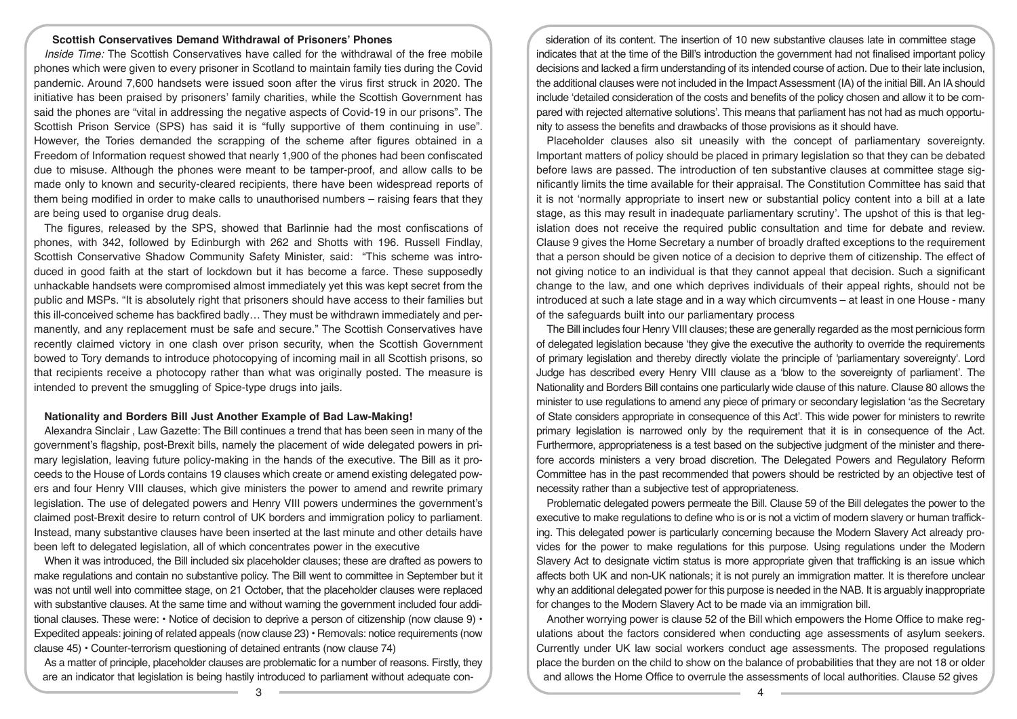## **Scottish Conservatives Demand Withdrawal of Prisoners' Phones**

*Inside Time:* The Scottish Conservatives have called for the withdrawal of the free mobile phones which were given to every prisoner in Scotland to maintain family ties during the Covid pandemic. Around 7,600 handsets were issued soon after the virus first struck in 2020. The initiative has been praised by prisoners' family charities, while the Scottish Government has said the phones are "vital in addressing the negative aspects of Covid-19 in our prisons". The Scottish Prison Service (SPS) has said it is "fully supportive of them continuing in use". However, the Tories demanded the scrapping of the scheme after figures obtained in a Freedom of Information request showed that nearly 1,900 of the phones had been confiscated due to misuse. Although the phones were meant to be tamper-proof, and allow calls to be made only to known and security-cleared recipients, there have been widespread reports of them being modified in order to make calls to unauthorised numbers – raising fears that they are being used to organise drug deals.

The figures, released by the SPS, showed that Barlinnie had the most confiscations of phones, with 342, followed by Edinburgh with 262 and Shotts with 196. Russell Findlay, Scottish Conservative Shadow Community Safety Minister, said: "This scheme was introduced in good faith at the start of lockdown but it has become a farce. These supposedly unhackable handsets were compromised almost immediately yet this was kept secret from the public and MSPs. "It is absolutely right that prisoners should have access to their families but this ill-conceived scheme has backfired badly… They must be withdrawn immediately and permanently, and any replacement must be safe and secure." The Scottish Conservatives have recently claimed victory in one clash over prison security, when the Scottish Government bowed to Tory demands to introduce photocopying of incoming mail in all Scottish prisons, so that recipients receive a photocopy rather than what was originally posted. The measure is intended to prevent the smuggling of Spice-type drugs into jails.

#### **Nationality and Borders Bill Just Another Example of Bad Law-Making!**

Alexandra Sinclair , Law Gazette: The Bill continues a trend that has been seen in many of the government's flagship, post-Brexit bills, namely the placement of wide delegated powers in primary legislation, leaving future policy-making in the hands of the executive. The Bill as it proceeds to the House of Lords contains 19 clauses which create or amend existing delegated powers and four Henry VIII clauses, which give ministers the power to amend and rewrite primary legislation. The use of delegated powers and Henry VIII powers undermines the government's claimed post-Brexit desire to return control of UK borders and immigration policy to parliament. Instead, many substantive clauses have been inserted at the last minute and other details have been left to delegated legislation, all of which concentrates power in the executive

When it was introduced, the Bill included six placeholder clauses; these are drafted as powers to make regulations and contain no substantive policy. The Bill went to committee in September but it was not until well into committee stage, on 21 October, that the placeholder clauses were replaced with substantive clauses. At the same time and without warning the government included four additional clauses. These were: • Notice of decision to deprive a person of citizenship (now clause 9) • Expedited appeals: joining of related appeals (now clause 23) • Removals: notice requirements (now clause 45) • Counter-terrorism questioning of detained entrants (now clause 74)

As a matter of principle, placeholder clauses are problematic for a number of reasons. Firstly, they are an indicator that legislation is being hastily introduced to parliament without adequate con-

sideration of its content. The insertion of 10 new substantive clauses late in committee stage indicates that at the time of the Bill's introduction the government had not finalised important policy decisions and lacked a firm understanding of its intended course of action. Due to their late inclusion, the additional clauses were not included in the Impact Assessment (IA) of the initial Bill. An IA should include 'detailed consideration of the costs and benefits of the policy chosen and allow it to be compared with rejected alternative solutions'. This means that parliament has not had as much opportunity to assess the benefits and drawbacks of those provisions as it should have.

Placeholder clauses also sit uneasily with the concept of parliamentary sovereignty. Important matters of policy should be placed in primary legislation so that they can be debated before laws are passed. The introduction of ten substantive clauses at committee stage significantly limits the time available for their appraisal. The Constitution Committee has said that it is not 'normally appropriate to insert new or substantial policy content into a bill at a late stage, as this may result in inadequate parliamentary scrutiny'. The upshot of this is that legislation does not receive the required public consultation and time for debate and review. Clause 9 gives the Home Secretary a number of broadly drafted exceptions to the requirement that a person should be given notice of a decision to deprive them of citizenship. The effect of not giving notice to an individual is that they cannot appeal that decision. Such a significant change to the law, and one which deprives individuals of their appeal rights, should not be introduced at such a late stage and in a way which circumvents – at least in one House - many of the safeguards built into our parliamentary process

The Bill includes four Henry VIII clauses; these are generally regarded as the most pernicious form of delegated legislation because 'they give the executive the authority to override the requirements of primary legislation and thereby directly violate the principle of 'parliamentary sovereignty'. Lord Judge has described every Henry VIII clause as a 'blow to the sovereignty of parliament'. The Nationality and Borders Bill contains one particularly wide clause of this nature. Clause 80 allows the minister to use regulations to amend any piece of primary or secondary legislation 'as the Secretary of State considers appropriate in consequence of this Act'. This wide power for ministers to rewrite primary legislation is narrowed only by the requirement that it is in consequence of the Act. Furthermore, appropriateness is a test based on the subjective judgment of the minister and therefore accords ministers a very broad discretion. The Delegated Powers and Regulatory Reform Committee has in the past recommended that powers should be restricted by an objective test of necessity rather than a subjective test of appropriateness.

Problematic delegated powers permeate the Bill. Clause 59 of the Bill delegates the power to the executive to make regulations to define who is or is not a victim of modern slavery or human trafficking. This delegated power is particularly concerning because the Modern Slavery Act already provides for the power to make regulations for this purpose. Using regulations under the Modern Slavery Act to designate victim status is more appropriate given that trafficking is an issue which affects both UK and non-UK nationals; it is not purely an immigration matter. It is therefore unclear why an additional delegated power for this purpose is needed in the NAB. It is arguably inappropriate for changes to the Modern Slavery Act to be made via an immigration bill.

Another worrying power is clause 52 of the Bill which empowers the Home Office to make regulations about the factors considered when conducting age assessments of asylum seekers. Currently under UK law social workers conduct age assessments. The proposed regulations place the burden on the child to show on the balance of probabilities that they are not 18 or older and allows the Home Office to overrule the assessments of local authorities. Clause 52 gives

 $\overline{3}$   $\overline{4}$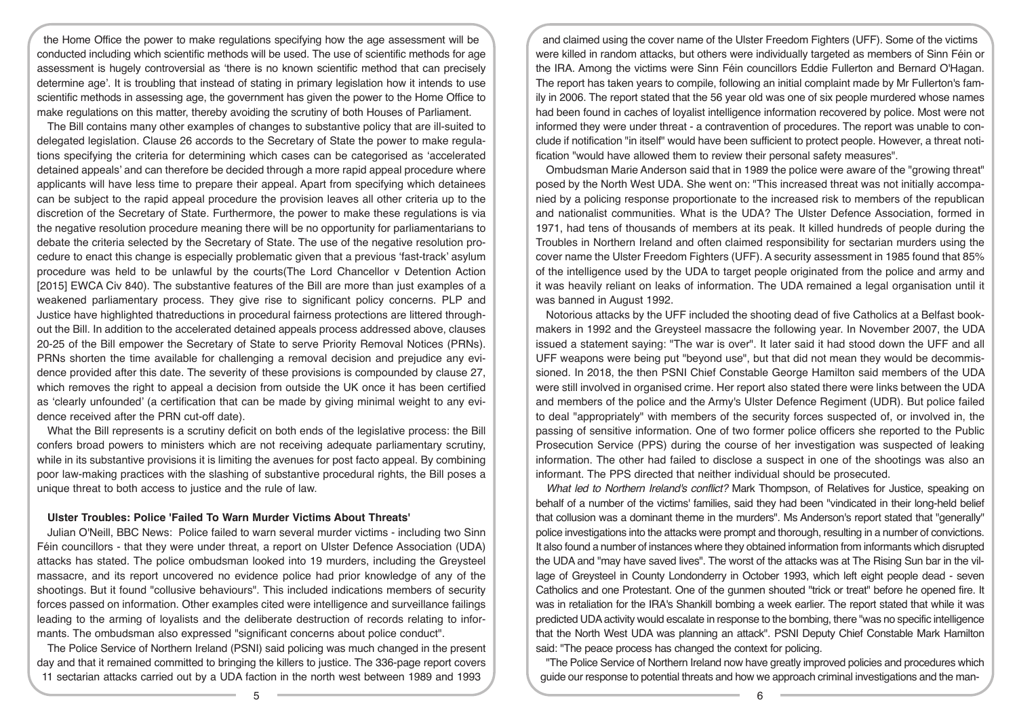the Home Office the power to make regulations specifying how the age assessment will be conducted including which scientific methods will be used. The use of scientific methods for age assessment is hugely controversial as 'there is no known scientific method that can precisely determine age'. It is troubling that instead of stating in primary legislation how it intends to use scientific methods in assessing age, the government has given the power to the Home Office to make regulations on this matter, thereby avoiding the scrutiny of both Houses of Parliament.

The Bill contains many other examples of changes to substantive policy that are ill-suited to delegated legislation. Clause 26 accords to the Secretary of State the power to make regulations specifying the criteria for determining which cases can be categorised as 'accelerated detained appeals' and can therefore be decided through a more rapid appeal procedure where applicants will have less time to prepare their appeal. Apart from specifying which detainees can be subject to the rapid appeal procedure the provision leaves all other criteria up to the discretion of the Secretary of State. Furthermore, the power to make these regulations is via the negative resolution procedure meaning there will be no opportunity for parliamentarians to debate the criteria selected by the Secretary of State. The use of the negative resolution procedure to enact this change is especially problematic given that a previous 'fast-track' asylum procedure was held to be unlawful by the courts(The Lord Chancellor v Detention Action [2015] EWCA Civ 840). The substantive features of the Bill are more than just examples of a weakened parliamentary process. They give rise to significant policy concerns. PLP and Justice have highlighted thatreductions in procedural fairness protections are littered throughout the Bill. In addition to the accelerated detained appeals process addressed above, clauses 20-25 of the Bill empower the Secretary of State to serve Priority Removal Notices (PRNs). PRNs shorten the time available for challenging a removal decision and prejudice any evidence provided after this date. The severity of these provisions is compounded by clause 27, which removes the right to appeal a decision from outside the UK once it has been certified as 'clearly unfounded' (a certification that can be made by giving minimal weight to any evidence received after the PRN cut-off date).

What the Bill represents is a scrutiny deficit on both ends of the legislative process: the Bill confers broad powers to ministers which are not receiving adequate parliamentary scrutiny, while in its substantive provisions it is limiting the avenues for post facto appeal. By combining poor law-making practices with the slashing of substantive procedural rights, the Bill poses a unique threat to both access to justice and the rule of law.

#### **Ulster Troubles: Police 'Failed To Warn Murder Victims About Threats'**

Julian O'Neill, BBC News: Police failed to warn several murder victims - including two Sinn Féin councillors - that they were under threat, a report on Ulster Defence Association (UDA) attacks has stated. The police ombudsman looked into 19 murders, including the Greysteel massacre, and its report uncovered no evidence police had prior knowledge of any of the shootings. But it found "collusive behaviours". This included indications members of security forces passed on information. Other examples cited were intelligence and surveillance failings leading to the arming of loyalists and the deliberate destruction of records relating to informants. The ombudsman also expressed "significant concerns about police conduct".

The Police Service of Northern Ireland (PSNI) said policing was much changed in the present day and that it remained committed to bringing the killers to justice. The 336-page report covers 11 sectarian attacks carried out by a UDA faction in the north west between 1989 and 1993

and claimed using the cover name of the Ulster Freedom Fighters (UFF). Some of the victims were killed in random attacks, but others were individually targeted as members of Sinn Féin or the IRA. Among the victims were Sinn Féin councillors Eddie Fullerton and Bernard O'Hagan. The report has taken years to compile, following an initial complaint made by Mr Fullerton's family in 2006. The report stated that the 56 year old was one of six people murdered whose names had been found in caches of loyalist intelligence information recovered by police. Most were not informed they were under threat - a contravention of procedures. The report was unable to conclude if notification "in itself" would have been sufficient to protect people. However, a threat notification "would have allowed them to review their personal safety measures".

Ombudsman Marie Anderson said that in 1989 the police were aware of the "growing threat" posed by the North West UDA. She went on: "This increased threat was not initially accompanied by a policing response proportionate to the increased risk to members of the republican and nationalist communities. What is the UDA? The Ulster Defence Association, formed in 1971, had tens of thousands of members at its peak. It killed hundreds of people during the Troubles in Northern Ireland and often claimed responsibility for sectarian murders using the cover name the Ulster Freedom Fighters (UFF). A security assessment in 1985 found that 85% of the intelligence used by the UDA to target people originated from the police and army and it was heavily reliant on leaks of information. The UDA remained a legal organisation until it was banned in August 1992.

Notorious attacks by the UFF included the shooting dead of five Catholics at a Belfast bookmakers in 1992 and the Greysteel massacre the following year. In November 2007, the UDA issued a statement saying: "The war is over". It later said it had stood down the UFF and all UFF weapons were being put "beyond use", but that did not mean they would be decommissioned. In 2018, the then PSNI Chief Constable George Hamilton said members of the UDA were still involved in organised crime. Her report also stated there were links between the UDA and members of the police and the Army's Ulster Defence Regiment (UDR). But police failed to deal "appropriately" with members of the security forces suspected of, or involved in, the passing of sensitive information. One of two former police officers she reported to the Public Prosecution Service (PPS) during the course of her investigation was suspected of leaking information. The other had failed to disclose a suspect in one of the shootings was also an informant. The PPS directed that neither individual should be prosecuted.

*What led to Northern Ireland's conflict?* Mark Thompson, of Relatives for Justice, speaking on behalf of a number of the victims' families, said they had been "vindicated in their long-held belief that collusion was a dominant theme in the murders". Ms Anderson's report stated that "generally" police investigations into the attacks were prompt and thorough, resulting in a number of convictions. It also found a number of instances where they obtained information from informants which disrupted the UDA and "may have saved lives". The worst of the attacks was at The Rising Sun bar in the village of Greysteel in County Londonderry in October 1993, which left eight people dead - seven Catholics and one Protestant. One of the gunmen shouted "trick or treat" before he opened fire. It was in retaliation for the IRA's Shankill bombing a week earlier. The report stated that while it was predicted UDA activity would escalate in response to the bombing, there "was no specific intelligence that the North West UDA was planning an attack". PSNI Deputy Chief Constable Mark Hamilton said: "The peace process has changed the context for policing.

"The Police Service of Northern Ireland now have greatly improved policies and procedures which guide our response to potential threats and how we approach criminal investigations and the man-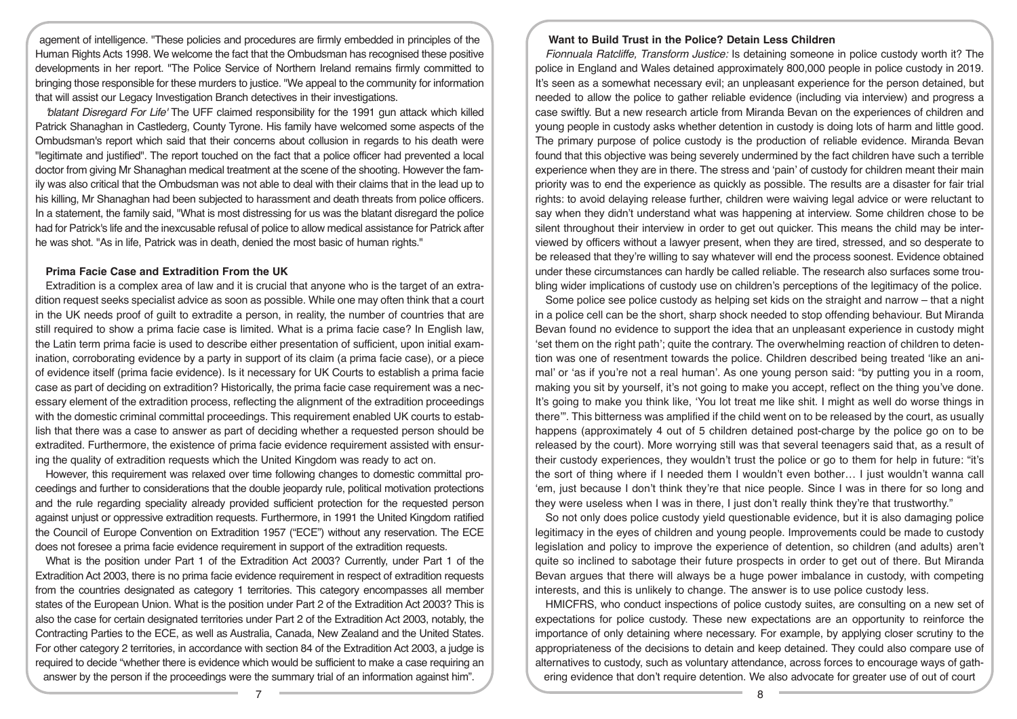agement of intelligence. "These policies and procedures are firmly embedded in principles of the Human Rights Acts 1998. We welcome the fact that the Ombudsman has recognised these positive developments in her report. "The Police Service of Northern Ireland remains firmly committed to bringing those responsible for these murders to justice. "We appeal to the community for information that will assist our Legacy Investigation Branch detectives in their investigations.

*'blatant Disregard For Life'* The UFF claimed responsibility for the 1991 gun attack which killed Patrick Shanaghan in Castlederg, County Tyrone. His family have welcomed some aspects of the Ombudsman's report which said that their concerns about collusion in regards to his death were "legitimate and justified". The report touched on the fact that a police officer had prevented a local doctor from giving Mr Shanaghan medical treatment at the scene of the shooting. However the family was also critical that the Ombudsman was not able to deal with their claims that in the lead up to his killing, Mr Shanaghan had been subjected to harassment and death threats from police officers. In a statement, the family said, "What is most distressing for us was the blatant disregard the police had for Patrick's life and the inexcusable refusal of police to allow medical assistance for Patrick after he was shot. "As in life, Patrick was in death, denied the most basic of human rights."

#### **Prima Facie Case and Extradition From the UK**

Extradition is a complex area of law and it is crucial that anyone who is the target of an extradition request seeks specialist advice as soon as possible. While one may often think that a court in the UK needs proof of guilt to extradite a person, in reality, the number of countries that are still required to show a prima facie case is limited. What is a prima facie case? In English law, the Latin term prima facie is used to describe either presentation of sufficient, upon initial examination, corroborating evidence by a party in support of its claim (a prima facie case), or a piece of evidence itself (prima facie evidence). Is it necessary for UK Courts to establish a prima facie case as part of deciding on extradition? Historically, the prima facie case requirement was a necessary element of the extradition process, reflecting the alignment of the extradition proceedings with the domestic criminal committal proceedings. This requirement enabled UK courts to establish that there was a case to answer as part of deciding whether a requested person should be extradited. Furthermore, the existence of prima facie evidence requirement assisted with ensuring the quality of extradition requests which the United Kingdom was ready to act on.

However, this requirement was relaxed over time following changes to domestic committal proceedings and further to considerations that the double jeopardy rule, political motivation protections and the rule regarding speciality already provided sufficient protection for the requested person against unjust or oppressive extradition requests. Furthermore, in 1991 the United Kingdom ratified the Council of Europe Convention on Extradition 1957 ("ECE") without any reservation. The ECE does not foresee a prima facie evidence requirement in support of the extradition requests.

What is the position under Part 1 of the Extradition Act 2003? Currently, under Part 1 of the Extradition Act 2003, there is no prima facie evidence requirement in respect of extradition requests from the countries designated as category 1 territories. This category encompasses all member states of the European Union. What is the position under Part 2 of the Extradition Act 2003? This is also the case for certain designated territories under Part 2 of the Extradition Act 2003, notably, the Contracting Parties to the ECE, as well as Australia, Canada, New Zealand and the United States. For other category 2 territories, in accordance with section 84 of the Extradition Act 2003, a judge is required to decide "whether there is evidence which would be sufficient to make a case requiring an answer by the person if the proceedings were the summary trial of an information against him".

## **Want to Build Trust in the Police? Detain Less Children**

*Fionnuala Ratcliffe, Transform Justice:* Is detaining someone in police custody worth it? The police in England and Wales detained approximately 800,000 people in police custody in 2019. It's seen as a somewhat necessary evil; an unpleasant experience for the person detained, but needed to allow the police to gather reliable evidence (including via interview) and progress a case swiftly. But a new research article from Miranda Bevan on the experiences of children and young people in custody asks whether detention in custody is doing lots of harm and little good. The primary purpose of police custody is the production of reliable evidence. Miranda Bevan found that this objective was being severely undermined by the fact children have such a terrible experience when they are in there. The stress and 'pain' of custody for children meant their main priority was to end the experience as quickly as possible. The results are a disaster for fair trial rights: to avoid delaying release further, children were waiving legal advice or were reluctant to say when they didn't understand what was happening at interview. Some children chose to be silent throughout their interview in order to get out quicker. This means the child may be interviewed by officers without a lawyer present, when they are tired, stressed, and so desperate to be released that they're willing to say whatever will end the process soonest. Evidence obtained under these circumstances can hardly be called reliable. The research also surfaces some troubling wider implications of custody use on children's perceptions of the legitimacy of the police.

Some police see police custody as helping set kids on the straight and narrow – that a night in a police cell can be the short, sharp shock needed to stop offending behaviour. But Miranda Bevan found no evidence to support the idea that an unpleasant experience in custody might 'set them on the right path'; quite the contrary. The overwhelming reaction of children to detention was one of resentment towards the police. Children described being treated 'like an animal' or 'as if you're not a real human'. As one young person said: "by putting you in a room, making you sit by yourself, it's not going to make you accept, reflect on the thing you've done. It's going to make you think like, 'You lot treat me like shit. I might as well do worse things in there'". This bitterness was amplified if the child went on to be released by the court, as usually happens (approximately 4 out of 5 children detained post-charge by the police go on to be released by the court). More worrying still was that several teenagers said that, as a result of their custody experiences, they wouldn't trust the police or go to them for help in future: "it's the sort of thing where if I needed them I wouldn't even bother… I just wouldn't wanna call 'em, just because I don't think they're that nice people. Since I was in there for so long and they were useless when I was in there, I just don't really think they're that trustworthy."

So not only does police custody yield questionable evidence, but it is also damaging police legitimacy in the eyes of children and young people. Improvements could be made to custody legislation and policy to improve the experience of detention, so children (and adults) aren't quite so inclined to sabotage their future prospects in order to get out of there. But Miranda Bevan argues that there will always be a huge power imbalance in custody, with competing interests, and this is unlikely to change. The answer is to use police custody less.

HMICFRS, who conduct inspections of police custody suites, are consulting on a new set of expectations for police custody. These new expectations are an opportunity to reinforce the importance of only detaining where necessary. For example, by applying closer scrutiny to the appropriateness of the decisions to detain and keep detained. They could also compare use of alternatives to custody, such as voluntary attendance, across forces to encourage ways of gathering evidence that don't require detention. We also advocate for greater use of out of court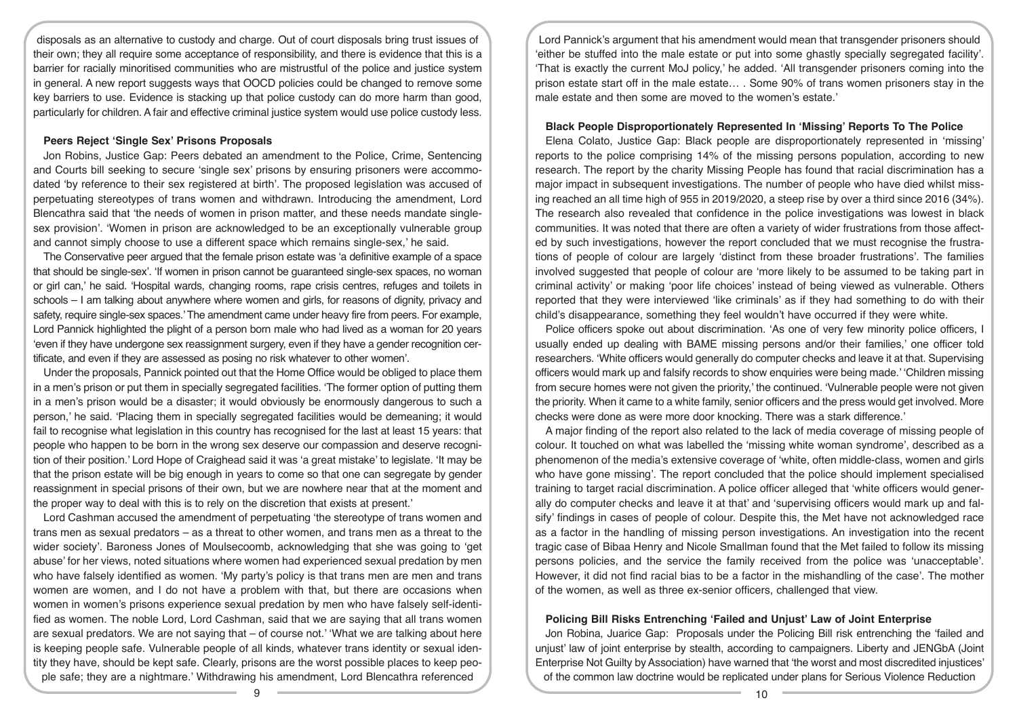disposals as an alternative to custody and charge. Out of court disposals bring trust issues of their own; they all require some acceptance of responsibility, and there is evidence that this is a barrier for racially minoritised communities who are mistrustful of the police and justice system in general. A new report suggests ways that OOCD policies could be changed to remove some key barriers to use. Evidence is stacking up that police custody can do more harm than good, particularly for children. A fair and effective criminal justice system would use police custody less.

## **Peers Reject 'Single Sex' Prisons Proposals**

Jon Robins, Justice Gap: Peers debated an amendment to the Police, Crime, Sentencing and Courts bill seeking to secure 'single sex' prisons by ensuring prisoners were accommodated 'by reference to their sex registered at birth'. The proposed legislation was accused of perpetuating stereotypes of trans women and withdrawn. Introducing the amendment, Lord Blencathra said that 'the needs of women in prison matter, and these needs mandate singlesex provision'. 'Women in prison are acknowledged to be an exceptionally vulnerable group and cannot simply choose to use a different space which remains single-sex,' he said.

The Conservative peer argued that the female prison estate was 'a definitive example of a space that should be single-sex'. 'If women in prison cannot be guaranteed single-sex spaces, no woman or girl can,' he said. 'Hospital wards, changing rooms, rape crisis centres, refuges and toilets in schools – I am talking about anywhere where women and girls, for reasons of dignity, privacy and safety, require single-sex spaces.' The amendment came under heavy fire from peers. For example, Lord Pannick highlighted the plight of a person born male who had lived as a woman for 20 years 'even if they have undergone sex reassignment surgery, even if they have a gender recognition certificate, and even if they are assessed as posing no risk whatever to other women'.

Under the proposals, Pannick pointed out that the Home Office would be obliged to place them in a men's prison or put them in specially segregated facilities. 'The former option of putting them in a men's prison would be a disaster; it would obviously be enormously dangerous to such a person,' he said. 'Placing them in specially segregated facilities would be demeaning; it would fail to recognise what legislation in this country has recognised for the last at least 15 years: that people who happen to be born in the wrong sex deserve our compassion and deserve recognition of their position.' Lord Hope of Craighead said it was 'a great mistake' to legislate. 'It may be that the prison estate will be big enough in years to come so that one can segregate by gender reassignment in special prisons of their own, but we are nowhere near that at the moment and the proper way to deal with this is to rely on the discretion that exists at present.'

Lord Cashman accused the amendment of perpetuating 'the stereotype of trans women and trans men as sexual predators – as a threat to other women, and trans men as a threat to the wider society'. Baroness Jones of Moulsecoomb, acknowledging that she was going to 'get abuse' for her views, noted situations where women had experienced sexual predation by men who have falsely identified as women. 'My party's policy is that trans men are men and trans women are women, and I do not have a problem with that, but there are occasions when women in women's prisons experience sexual predation by men who have falsely self-identified as women. The noble Lord, Lord Cashman, said that we are saying that all trans women are sexual predators. We are not saying that  $-$  of course not.' 'What we are talking about here is keeping people safe. Vulnerable people of all kinds, whatever trans identity or sexual identity they have, should be kept safe. Clearly, prisons are the worst possible places to keep people safe; they are a nightmare.' Withdrawing his amendment, Lord Blencathra referenced

Lord Pannick's argument that his amendment would mean that transgender prisoners should 'either be stuffed into the male estate or put into some ghastly specially segregated facility'. 'That is exactly the current MoJ policy,' he added. 'All transgender prisoners coming into the prison estate start off in the male estate… . Some 90% of trans women prisoners stay in the male estate and then some are moved to the women's estate.'

## **Black People Disproportionately Represented In 'Missing' Reports To The Police**

Elena Colato, Justice Gap: Black people are disproportionately represented in 'missing' reports to the police comprising 14% of the missing persons population, according to new research. The report by the charity Missing People has found that racial discrimination has a major impact in subsequent investigations. The number of people who have died whilst missing reached an all time high of 955 in 2019/2020, a steep rise by over a third since 2016 (34%). The research also revealed that confidence in the police investigations was lowest in black communities. It was noted that there are often a variety of wider frustrations from those affected by such investigations, however the report concluded that we must recognise the frustrations of people of colour are largely 'distinct from these broader frustrations'. The families involved suggested that people of colour are 'more likely to be assumed to be taking part in criminal activity' or making 'poor life choices' instead of being viewed as vulnerable. Others reported that they were interviewed 'like criminals' as if they had something to do with their child's disappearance, something they feel wouldn't have occurred if they were white.

Police officers spoke out about discrimination. 'As one of very few minority police officers, I usually ended up dealing with BAME missing persons and/or their families,' one officer told researchers. 'White officers would generally do computer checks and leave it at that. Supervising officers would mark up and falsify records to show enquiries were being made.' 'Children missing from secure homes were not given the priority,' the continued. 'Vulnerable people were not given the priority. When it came to a white family, senior officers and the press would get involved. More checks were done as were more door knocking. There was a stark difference.'

A major finding of the report also related to the lack of media coverage of missing people of colour. It touched on what was labelled the 'missing white woman syndrome', described as a phenomenon of the media's extensive coverage of 'white, often middle-class, women and girls who have gone missing'. The report concluded that the police should implement specialised training to target racial discrimination. A police officer alleged that 'white officers would generally do computer checks and leave it at that' and 'supervising officers would mark up and falsify' findings in cases of people of colour. Despite this, the Met have not acknowledged race as a factor in the handling of missing person investigations. An investigation into the recent tragic case of Bibaa Henry and Nicole Smallman found that the Met failed to follow its missing persons policies, and the service the family received from the police was 'unacceptable'. However, it did not find racial bias to be a factor in the mishandling of the case'. The mother of the women, as well as three ex-senior officers, challenged that view.

# **Policing Bill Risks Entrenching 'Failed and Unjust' Law of Joint Enterprise**

Jon Robina, Juarice Gap: Proposals under the Policing Bill risk entrenching the 'failed and unjust' law of joint enterprise by stealth, according to campaigners. Liberty and JENGbA (Joint Enterprise Not Guilty by Association) have warned that 'the worst and most discredited injustices' of the common law doctrine would be replicated under plans for Serious Violence Reduction